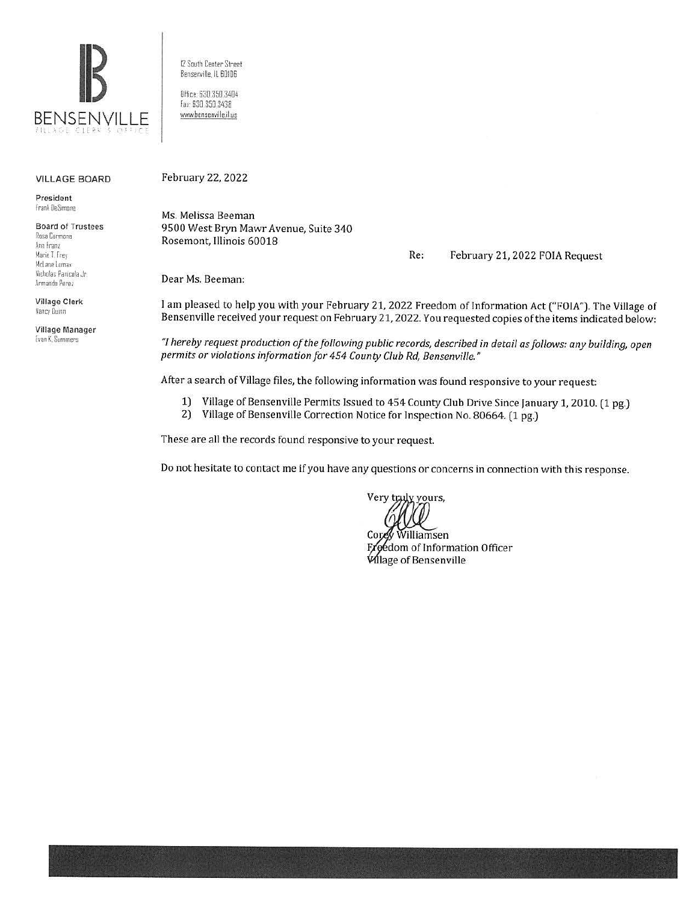

12 South Center Street Bensenville. IL 60106 Office 630.350.3404 Fax· 630 350.3438 www.bensenville.il.us

#### VILLAGE BOARD

President frank DeSimone

Board of Trustees Rosa Carmona **An» Fram**  Marie T. Frey McLane Lornax Nicholas Panicola Jr. Armando Perez

Village Clerk Nancy Duinn

Village Manager  $E$ van K, Summers

February 22, 2022

Ms. Melissa Beeman 9500 West Bryn Mawr Avenue, Suite 340 Rosemont, Illinois 60018

Re: February 21, 2022 FOIA Request

Dear Ms. Beeman:

I am pleased to help you with your February 21, 2022 Freedom of Information Act ("FOIA"). The Village of Bensenville received your request on February 21, 2022. You requested copies of the items indicated below:

*"I hereby request production of the following public records, described in detail as follows: any building, open permits or violations information for 454 County Club Rd, Bensenville."* 

After a search of Village files, the following information was found responsive to your request:

- 1) Village of Bensenville Permits Issued to 454 County Club Drive Since January 1, 2010. (1 pg.)<br>2) Village of Bensenville Correction Notice for Inspection No. 80664. (1 pg.)
- Village of Bensenville Correction Notice for Inspection No. 80664. (1 pg.)

These are all the records found responsive to your request.

Do not hesitate to contact me if you have any questions or concerns in connection with this response.

Very truly yours,

Cor Williamsen Freedom of Information Officer Wilage of Bensenville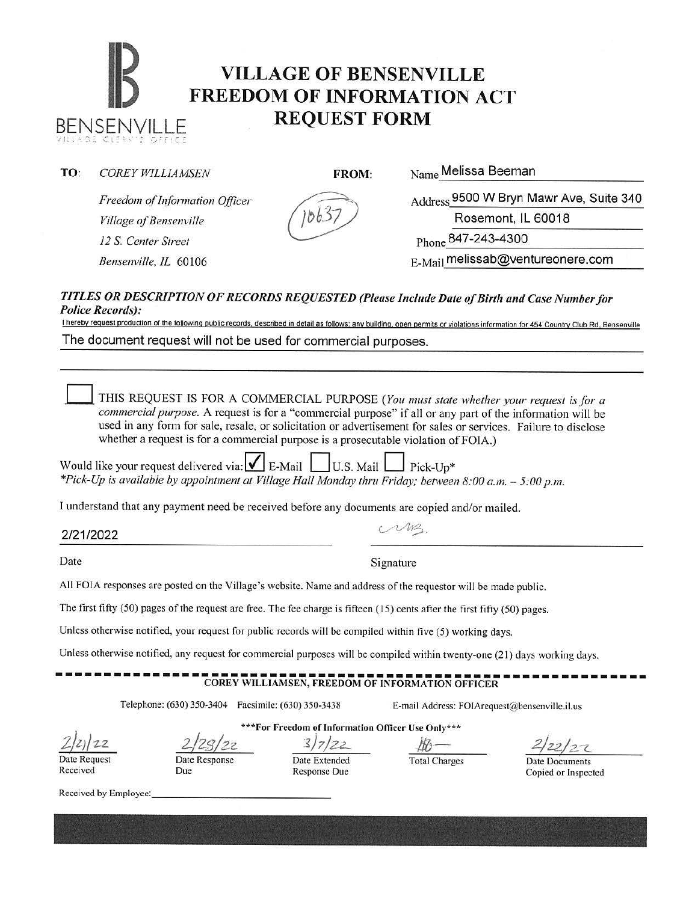### **IB VILLAGE OF BENSENVILLE**<br>**FREEDOM OF INFORMATION A FREEDOM OF INFORMATION ACT**  BENSENVILLE **REQUEST FORM**

### **TO:** *COREY WILLIAMSEN FROM:* **Name Melissa Beeman**

*Freedom of Information Officer Freedom of Information Officer*<br> *Village of Bensenville*<br> *Village of Bensenville*<br> *Village of Bensenville*<br> *Phone* 847-243-4300

Rosemont, IL 60018

*12* S. *Center Street* Phone 84 7-243-4300

*Bensenville, IL* 60106 **E-Mail melissab@ventureonere.com** 

### *TITLES OR DESCRIPTION OF RECORDS REQUESTED (Please Inc/11de Date of Birth and Case Number for Police Records):*

I hereby request production of the following public records, described in detail as follows: any building, open permits or violations information for 454 Country Club Rd, Bensenville The document request will not be used for commercial purposes.

THIS REQUEST IS FOR A COMMERCIAL PURPOSE *(You must state whether your request is for a commercial purpose*. A request is for a "commercial purpose" if all or any part of the information will be used in any form for sale, resale, or solicitation or advertisement for sales or services. Failure to disclose whether a request is for a commercial purpose is a prosecutable violation of FOIA.)

| Would like your request delivered via: $\sqrt{\phantom{a}}$ E-Mail U.S. Mail Pick-Up*                  |  |
|--------------------------------------------------------------------------------------------------------|--|
| *Pick-Up is available by appointment at Village Hall Monday thru Friday; between 8:00 a.m. - 5:00 p.m. |  |

I understand that any payment need be received before any documents are copied and/or mailed.

Date Signature

All FOIA responses are posted on the Village's website. Name and address of the requestor will be made public.

The first fifty (50) pages of the request arc free. The fee charge is fifteen (15) cents after the first fifty (50) pages.

Unless otherwise notified, your request for public records will be compiled within five (5) working days.

Unless otherwise notified, any request for commercial purposes will be compiled within twenty-one (21) days working days.

# ------------------------------------------------------------- **COREY WILLIAMSEN, FREEDOM OF INFORMATION OFFICER**

Telephone: (630) 350-3404 Facsimile: (630) 350-3438 E-mail Address: F01Arequest@bensenville.il.us

*z}zJ/z.z*  Date Request

Received

**\*\*\*For Freedom of Information Officer Use Only\*\*\***  *2/zs/zz. 1)7/z2- JJb·-*

Date Response

Due

Date Extended Response Due

Total Charges Date Documents Copied or Inspected

Received by Employee:



## 2/21/2022 *C/~.*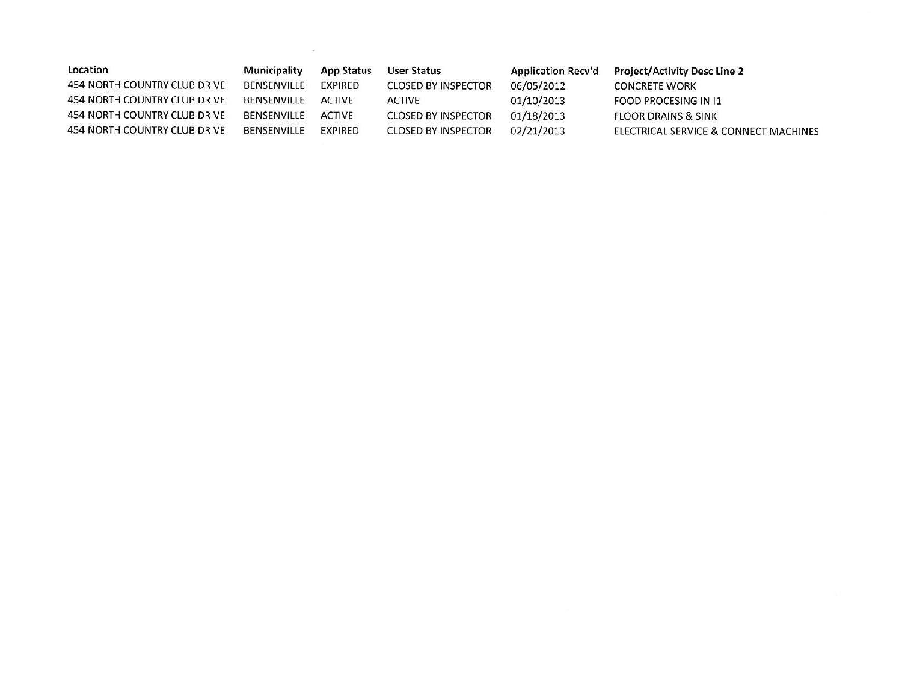| Location                     | Municipality | App Status    | User Status                | <b>Application Recy'd</b> | <b>Project/Activity Desc Line 2</b>   |
|------------------------------|--------------|---------------|----------------------------|---------------------------|---------------------------------------|
| 454 NORTH COUNTRY CLUB DRIVE | BENSENVILLE  | EXPIRED       | <b>CLOSED BY INSPECTOR</b> | 06/05/2012                | CONCRETE WORK                         |
| 454 NORTH COUNTRY CLUB DRIVE | BENSENVILLE  | <b>ACTIVE</b> | ACTIVE                     | 01/10/2013                | FOOD PROCESING IN 11                  |
| 454 NORTH COUNTRY CLUB DRIVE | BENSENVILLE  | <b>ACTIVE</b> | <b>CLOSED BY INSPECTOR</b> | 01/18/2013                | <b>FLOOR DRAINS &amp; SINK</b>        |
| 454 NORTH COUNTRY CLUB DRIVE | BENSENVILLE  | EXPIRED       | <b>CLOSED BY INSPECTOR</b> | 02/21/2013                | ELECTRICAL SERVICE & CONNECT MACHINES |

 $\langle \mathbf{R}^2 \rangle = \langle \mathbf{R}^2 \rangle = \langle \mathbf{R}^2 \rangle = \langle \mathbf{R}^2 \rangle = \langle \mathbf{R}^2 \rangle = \langle \mathbf{R}^2 \rangle = \langle \mathbf{R}^2 \rangle = \langle \mathbf{R}^2 \rangle = \langle \mathbf{R}^2 \rangle = \langle \mathbf{R}^2 \rangle = \langle \mathbf{R}^2 \rangle = \langle \mathbf{R}^2 \rangle = \langle \mathbf{R}^2 \rangle = \langle \mathbf{R}^2 \rangle = \langle \mathbf{R}^2 \rangle = \langle \mathbf{R}^2 \rangle = \langle \mathbf{R}^2 \rangle$